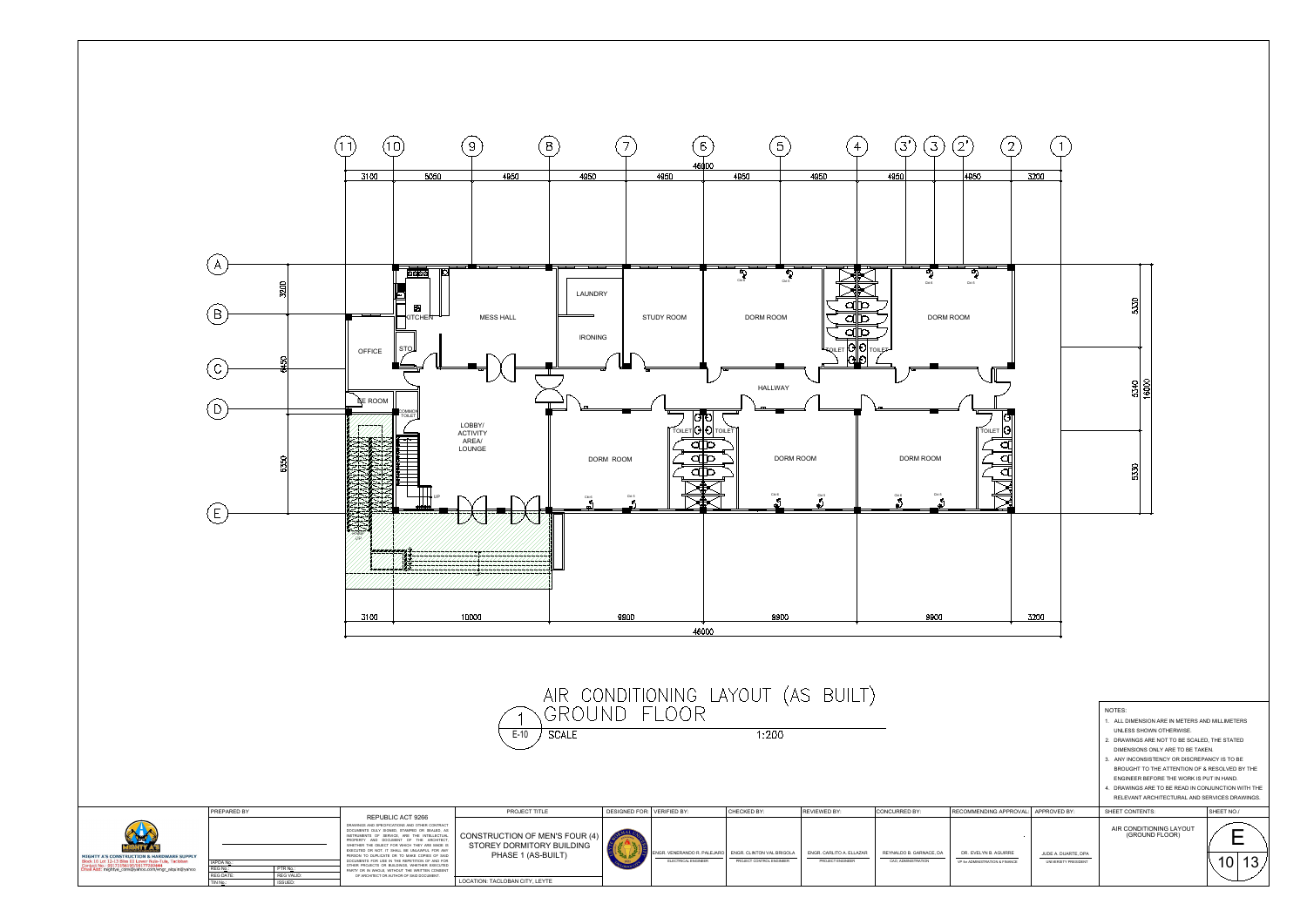LOCATION: TACLOBAN CITY, LEYTE



| <u>9990</u>                       | サフリワ                                                                                                                                                                                                                                                                                                                                                                                                                                                                                                                              | $+500$                                                                                                                                                                                                                                                                                                                                                                                                                                                                                                            | $+500$                                                        |                                                              | $+500$                                                                                                                                                                                                                                                                                                                                                                                                                                                                                                      | <b>JZUU</b>  |                                                                                                                                                                                                                                                                                                                                                                                                                             |            |
|-----------------------------------|-----------------------------------------------------------------------------------------------------------------------------------------------------------------------------------------------------------------------------------------------------------------------------------------------------------------------------------------------------------------------------------------------------------------------------------------------------------------------------------------------------------------------------------|-------------------------------------------------------------------------------------------------------------------------------------------------------------------------------------------------------------------------------------------------------------------------------------------------------------------------------------------------------------------------------------------------------------------------------------------------------------------------------------------------------------------|---------------------------------------------------------------|--------------------------------------------------------------|-------------------------------------------------------------------------------------------------------------------------------------------------------------------------------------------------------------------------------------------------------------------------------------------------------------------------------------------------------------------------------------------------------------------------------------------------------------------------------------------------------------|--------------|-----------------------------------------------------------------------------------------------------------------------------------------------------------------------------------------------------------------------------------------------------------------------------------------------------------------------------------------------------------------------------------------------------------------------------|------------|
|                                   |                                                                                                                                                                                                                                                                                                                                                                                                                                                                                                                                   |                                                                                                                                                                                                                                                                                                                                                                                                                                                                                                                   |                                                               |                                                              |                                                                                                                                                                                                                                                                                                                                                                                                                                                                                                             |              |                                                                                                                                                                                                                                                                                                                                                                                                                             |            |
| $\overline{a}$<br><b>JDY ROOM</b> | $\begin{array}{c}\n\hline\n\hline\n\end{array}\n\qquad\n\begin{array}{c}\n\hline\n\end{array}\n\qquad\n\begin{array}{c}\n\hline\n\end{array}\n\qquad\n\begin{array}{c}\n\hline\n\end{array}\n\qquad\n\begin{array}{c}\n\hline\n\end{array}\n\qquad\n\begin{array}{c}\n\hline\n\end{array}\n\qquad\n\begin{array}{c}\n\hline\n\end{array}\n\qquad\n\begin{array}{c}\n\hline\n\end{array}\n\qquad\n\begin{array}{c}\n\hline\n\end{array}\n\qquad\n\begin{array}{c}\n\hline\n\end{array}\n$<br>$\overline{\phantom{a}}$<br>DORM ROOM | $\begin{array}{c}\n\hline\n\end{array}\n\qquad\n\begin{array}{c}\n\hline\n\end{array}\n\qquad\n\begin{array}{c}\n\hline\n\end{array}\n\qquad\n\begin{array}{c}\n\hline\n\end{array}\n\qquad\n\begin{array}{c}\n\hline\n\end{array}\n\qquad\n\begin{array}{c}\n\hline\n\end{array}\n\qquad\n\begin{array}{c}\n\hline\n\end{array}\n\qquad\n\begin{array}{c}\n\hline\n\end{array}\n\qquad\n\begin{array}{c}\n\hline\n\end{array}\n\qquad\n\begin{array}{c}\n\hline\n\end{array}\n\qquad\n$<br>a<br>a<br>a<br>FQILET | D<br>D<br>D                                                   | $\overline{\mathbb{Z}}$<br>Ckt $\boldsymbol{6}$<br>DORM ROOM | $\frac{1}{\sqrt{\frac{1}{\sqrt{\frac{1}{\sqrt{\frac{1}{\sqrt{\frac{1}{\sqrt{\frac{1}{\sqrt{\frac{1}{\sqrt{\frac{1}{\sqrt{\frac{1}{\sqrt{\frac{1}{\sqrt{\frac{1}{\sqrt{\frac{1}{\sqrt{\frac{1}{\sqrt{\frac{1}{\sqrt{\frac{1}{\sqrt{\frac{1}{\sqrt{\frac{1}{\sqrt{\frac{1}{\sqrt{\frac{1}{\sqrt{\frac{1}{\sqrt{\frac{1}{\sqrt{\frac{1}{\sqrt{\frac{1}{\sqrt{\frac{1}{\sqrt{\frac{1}{1\sqrt{\frac{1}{1\sqrt{\frac{1}{1\sqrt{\frac{1}{1\sqrt{\frac{1}{1\sqrt{\frac{1}{1\sqrt{\frac{1$<br>$\operatorname*{Ckt}5$ |              | 5330                                                                                                                                                                                                                                                                                                                                                                                                                        |            |
|                                   | HALLWAY<br>੦¶੦<br>$\sqrt{10}$ TOILET $\Theta$ TOILET                                                                                                                                                                                                                                                                                                                                                                                                                                                                              |                                                                                                                                                                                                                                                                                                                                                                                                                                                                                                                   | $\begin{array}{c} \circ & \circ \\ \circ & \circ \end{array}$ |                                                              | TOILET $ G $                                                                                                                                                                                                                                                                                                                                                                                                                                                                                                |              | 16000<br>5340                                                                                                                                                                                                                                                                                                                                                                                                               |            |
| d<br>d<br>a                       | p<br>D<br>C<br>${\bf C} {\bf k} t \; {\bf 6}$<br>贰                                                                                                                                                                                                                                                                                                                                                                                                                                                                                | DORM ROOM<br>$\sum_{\mathbf{p}}^{\text{Ckt 5}}$<br>__                                                                                                                                                                                                                                                                                                                                                                                                                                                             | $\sum_{i=1}^{N_{\rm{tot}}-1}$<br>$\overline{\phantom{a}}$     | DORM ROOM<br>Ckt 5<br>$\tilde{\mathcal{D}}$                  | a<br>⊂                                                                                                                                                                                                                                                                                                                                                                                                                                                                                                      |              | 5330                                                                                                                                                                                                                                                                                                                                                                                                                        |            |
|                                   |                                                                                                                                                                                                                                                                                                                                                                                                                                                                                                                                   |                                                                                                                                                                                                                                                                                                                                                                                                                                                                                                                   |                                                               |                                                              |                                                                                                                                                                                                                                                                                                                                                                                                                                                                                                             |              |                                                                                                                                                                                                                                                                                                                                                                                                                             |            |
|                                   | 9900<br>46000                                                                                                                                                                                                                                                                                                                                                                                                                                                                                                                     |                                                                                                                                                                                                                                                                                                                                                                                                                                                                                                                   |                                                               | 9900                                                         |                                                                                                                                                                                                                                                                                                                                                                                                                                                                                                             | 3200         |                                                                                                                                                                                                                                                                                                                                                                                                                             |            |
|                                   | )NING LAYOUT (AS BUILT)<br>LOOR<br>1:200                                                                                                                                                                                                                                                                                                                                                                                                                                                                                          |                                                                                                                                                                                                                                                                                                                                                                                                                                                                                                                   |                                                               |                                                              |                                                                                                                                                                                                                                                                                                                                                                                                                                                                                                             |              | NOTES:<br>1. ALL DIMENSION ARE IN METERS AND MILLIMETERS<br>UNLESS SHOWN OTHERWISE.<br>2. DRAWINGS ARE NOT TO BE SCALED, THE STATED<br>DIMENSIONS ONLY ARE TO BE TAKEN.<br>3. ANY INCONSISTENCY OR DISCREPANCY IS TO BE<br>BROUGHT TO THE ATTENTION OF & RESOLVED BY THE<br>ENGINEER BEFORE THE WORK IS PUT IN HAND.<br>4. DRAWINGS ARE TO BE READ IN CONJUNCTION WITH THE<br>RELEVANT ARCHITECTURAL AND SERVICES DRAWINGS. |            |
|                                   | CHECKED BY:                                                                                                                                                                                                                                                                                                                                                                                                                                                                                                                       | REVIEWED BY:                                                                                                                                                                                                                                                                                                                                                                                                                                                                                                      | CONCURRED BY:                                                 |                                                              | RECOMMENDING APPROVAL:                                                                                                                                                                                                                                                                                                                                                                                                                                                                                      | APPROVED BY: | SHEET CONTENTS:                                                                                                                                                                                                                                                                                                                                                                                                             | SHEET NO./ |
| <b>VERIFIED BY:</b>               |                                                                                                                                                                                                                                                                                                                                                                                                                                                                                                                                   |                                                                                                                                                                                                                                                                                                                                                                                                                                                                                                                   |                                                               |                                                              |                                                                                                                                                                                                                                                                                                                                                                                                                                                                                                             |              | AIR CONDITIONING LAYOUT (GROUND FLOOR)                                                                                                                                                                                                                                                                                                                                                                                      | Е          |

 $\left(2\right)$ 

 $\left( 1\right)$ 

 $\overline{3200}$ 

OTHER PROJECTS OR BUILDINGS, WHETHER EXECUTED PARTY OR IN WHOLE, WITHOUT THE WRITTEN CONSENT

REG N<u>o.: PTR No.: PTR No.:</u><br>REG DATE: REG VALID:<br>TIN N<u>o</u>.: PTR No.: PTR No.: REG VALID: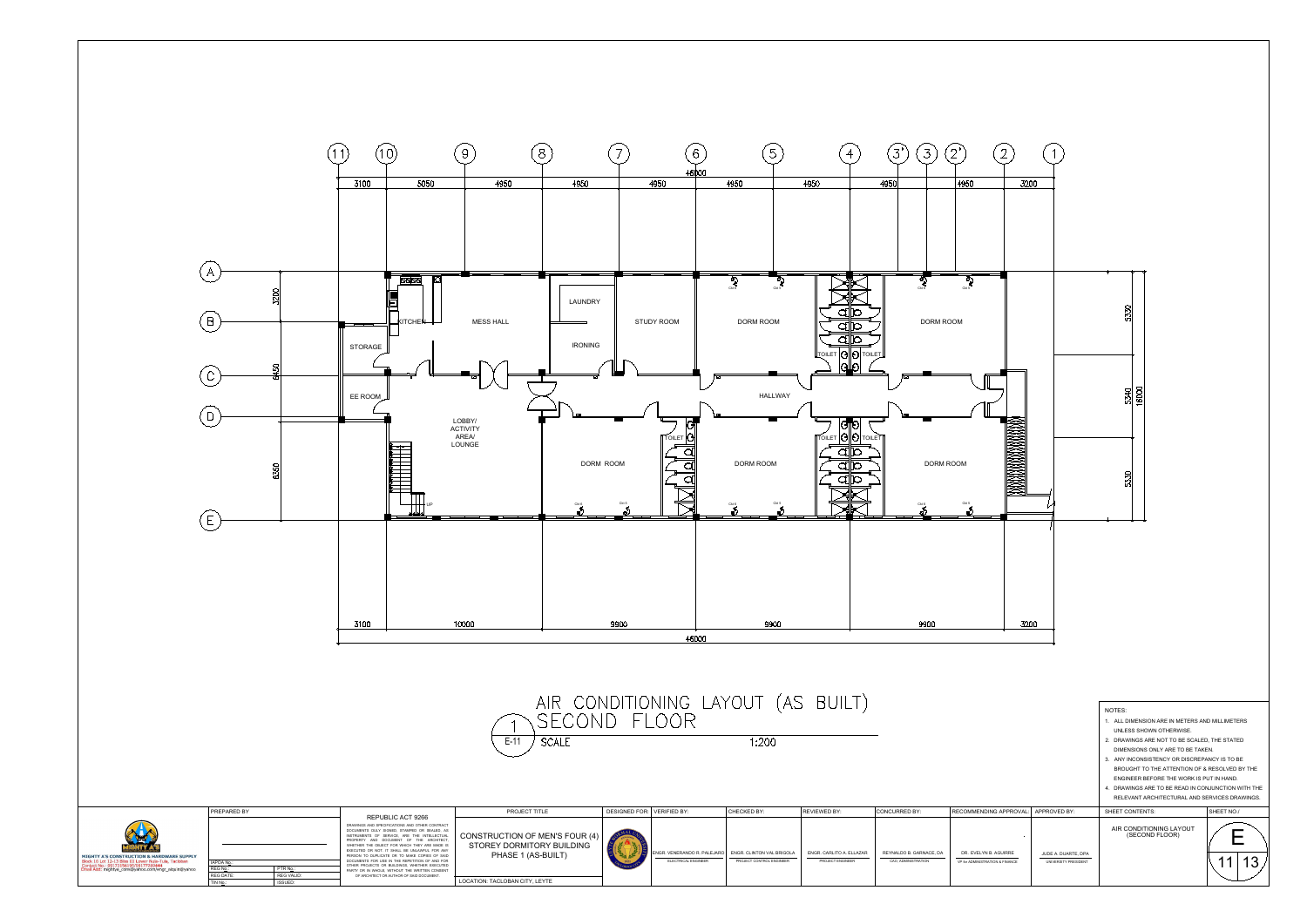LOCATION: TACLOBAN CITY, LEYTE

REG DATE:<br>TIN N<u>o</u>.:

REG N<u>o.: PTR No.:</u><br>REG DATE: REG VALID:<br>TIN N<u>o</u>.: ISSUED: REG VALID:



|                                              | $\mathbf 6$<br>46000        | 5                                                                                                                                                                                                                                                                                                                                                                                                                      | 4                                                                                                                      | $\overline{3}$<br>$\mathfrak{Z}$                | 2'<br>$\overline{2}$                                                                                                                                                                                                                                                                                                                                |                                             |                                                                                                                                                                                                                                                                                                                                                                                                                             |               |
|----------------------------------------------|-----------------------------|------------------------------------------------------------------------------------------------------------------------------------------------------------------------------------------------------------------------------------------------------------------------------------------------------------------------------------------------------------------------------------------------------------------------|------------------------------------------------------------------------------------------------------------------------|-------------------------------------------------|-----------------------------------------------------------------------------------------------------------------------------------------------------------------------------------------------------------------------------------------------------------------------------------------------------------------------------------------------------|---------------------------------------------|-----------------------------------------------------------------------------------------------------------------------------------------------------------------------------------------------------------------------------------------------------------------------------------------------------------------------------------------------------------------------------------------------------------------------------|---------------|
| 950                                          |                             | 4950                                                                                                                                                                                                                                                                                                                                                                                                                   | 4950                                                                                                                   | 4950                                            | 4950<br>3200                                                                                                                                                                                                                                                                                                                                        |                                             |                                                                                                                                                                                                                                                                                                                                                                                                                             |               |
| __<br>Y ROOM                                 |                             | $\begin{picture}(180,10) \put(0,0){\line(1,0){100}} \put(10,0){\line(1,0){100}} \put(10,0){\line(1,0){100}} \put(10,0){\line(1,0){100}} \put(10,0){\line(1,0){100}} \put(10,0){\line(1,0){100}} \put(10,0){\line(1,0){100}} \put(10,0){\line(1,0){100}} \put(10,0){\line(1,0){100}} \put(10,0){\line(1,0){100}} \put(10,0){\line(1,0){100}}$<br>____<br>---<br>$\bigotimes_{\mathrm{Cat}\, \mathfrak{S}}$<br>DORM ROOM | - 1<br>╌<br>D<br>a<br>b<br>a<br>b<br>a<br>$\boxed{\text{lower}} \overline{ \bigodot   \bigodot \text{lower}}$<br>lGllo | $\overline{\mathcal{L}}$<br>______<br>DORM ROOM | $\begin{picture}(120,10) \put(0,0){\line(1,0){15}} \put(15,0){\line(1,0){15}} \put(15,0){\line(1,0){15}} \put(15,0){\line(1,0){15}} \put(15,0){\line(1,0){15}} \put(15,0){\line(1,0){15}} \put(15,0){\line(1,0){15}} \put(15,0){\line(1,0){15}} \put(15,0){\line(1,0){15}} \put(15,0){\line(1,0){15}} \put(15,0){\line(1,0){15}} \put(15,0){\line($ |                                             | 5330                                                                                                                                                                                                                                                                                                                                                                                                                        |               |
| $\sqrt{\frac{1}{10}}$ TOILET $\sqrt{9}$<br>a | G                           | <b>HALLWAY</b><br>DORM ROOM                                                                                                                                                                                                                                                                                                                                                                                            | $\circ$ to<br>$\sqrt{\frac{1}{2}}$ TOILET $\left \Theta\right $ O TOILET<br>þ<br>ď<br>b<br>a                           | DORM ROOM                                       |                                                                                                                                                                                                                                                                                                                                                     |                                             | 16000<br>5340                                                                                                                                                                                                                                                                                                                                                                                                               |               |
|                                              |                             | Ckt 5<br>Ckt 6                                                                                                                                                                                                                                                                                                                                                                                                         | b<br>a                                                                                                                 | Ckt 6                                           | $rac{Ck1.5}{8}$                                                                                                                                                                                                                                                                                                                                     |                                             | 5330                                                                                                                                                                                                                                                                                                                                                                                                                        |               |
|                                              | 46000                       | 9900                                                                                                                                                                                                                                                                                                                                                                                                                   |                                                                                                                        | 9900                                            | 3200                                                                                                                                                                                                                                                                                                                                                |                                             |                                                                                                                                                                                                                                                                                                                                                                                                                             |               |
|                                              |                             | NING LAYOUT (AS BUILT)<br>.OOR<br>1:200                                                                                                                                                                                                                                                                                                                                                                                |                                                                                                                        |                                                 |                                                                                                                                                                                                                                                                                                                                                     |                                             | NOTES:<br>1. ALL DIMENSION ARE IN METERS AND MILLIMETERS<br>UNLESS SHOWN OTHERWISE.<br>2. DRAWINGS ARE NOT TO BE SCALED, THE STATED<br>DIMENSIONS ONLY ARE TO BE TAKEN.<br>3. ANY INCONSISTENCY OR DISCREPANCY IS TO BE<br>BROUGHT TO THE ATTENTION OF & RESOLVED BY THE<br>ENGINEER BEFORE THE WORK IS PUT IN HAND.<br>4. DRAWINGS ARE TO BE READ IN CONJUNCTION WITH THE<br>RELEVANT ARCHITECTURAL AND SERVICES DRAWINGS. |               |
| <b>VERIFIED BY:</b>                          |                             | CHECKED BY:                                                                                                                                                                                                                                                                                                                                                                                                            | REVIEWED BY:                                                                                                           | CONCURRED BY:                                   | RECOMMENDING APPROVAL: APPROVED BY:                                                                                                                                                                                                                                                                                                                 |                                             | SHEET CONTENTS:                                                                                                                                                                                                                                                                                                                                                                                                             | SHEET NO./    |
| ELECTRICAL ENGINEER                          | ENGR. VENERANDO R. PALEJARO | ENGR. CLINTON VAL BRIGOLA<br>PROJECT CONTROL ENGINEER                                                                                                                                                                                                                                                                                                                                                                  | ENGR. CARLITO A. ELLAZAR<br>PROJECT ENGINEER                                                                           | REYNALDO B. GARNACE, DA<br>CAO, ADMINISTRATION  | DR. EVELYN B. AGUIRRE<br>VP for ADMINISTRATION & FINANCE                                                                                                                                                                                                                                                                                            | JUDE A. DUARTE, DPA<br>UNIVERSITY PRESIDENT | AIR CONDITIONING LAYOUT (SECOND FLOOR)                                                                                                                                                                                                                                                                                                                                                                                      | E<br>13<br>11 |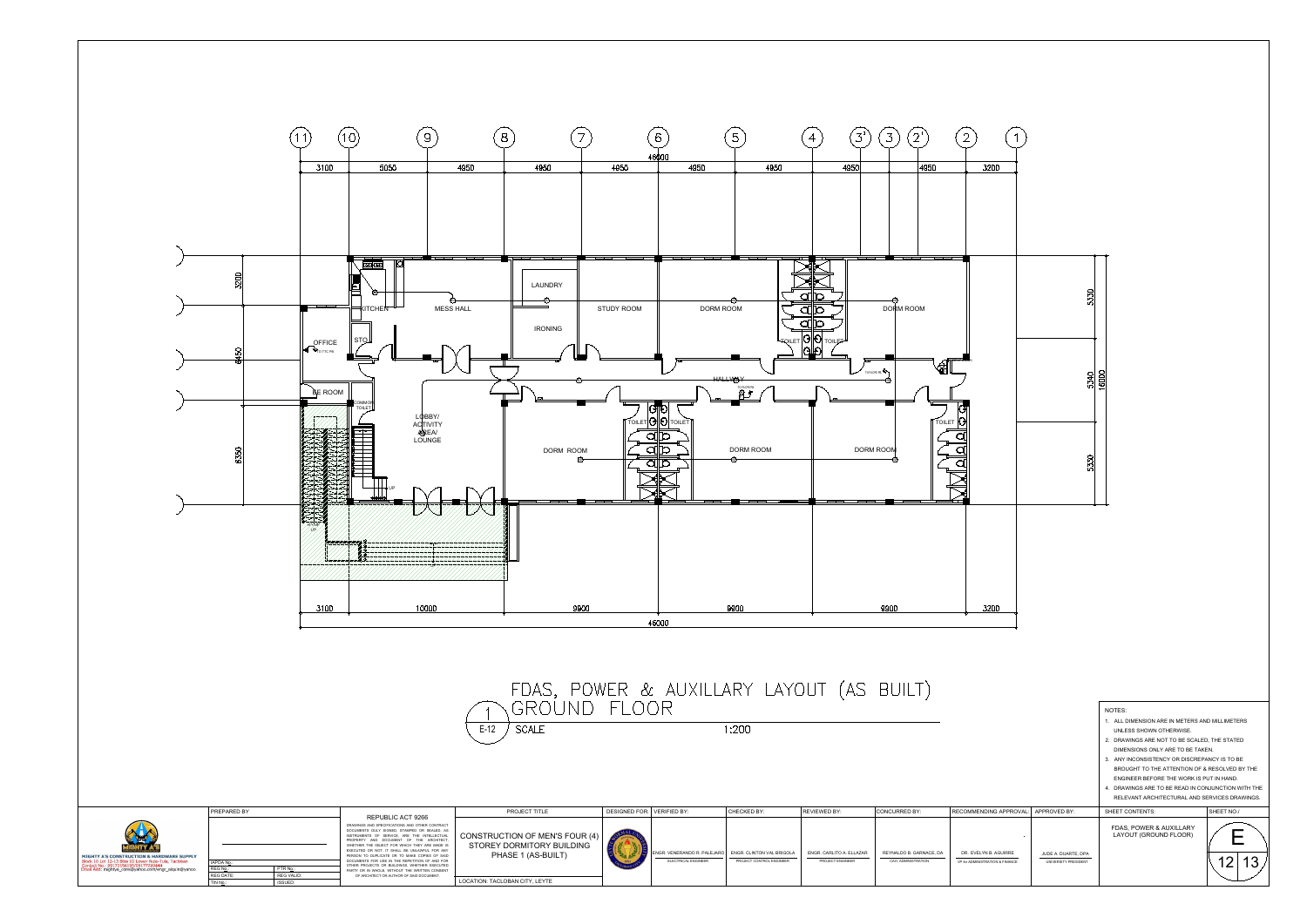

FDAS, POWER & AUXILLARY LAYOUT (AS BUILT)<br>\GROUND FLOOR

 $1:200$ 



 $E-12$  SCALE

|                                      |                                             | NOTES:                                             |            |  |
|--------------------------------------|---------------------------------------------|----------------------------------------------------|------------|--|
|                                      |                                             | 1. ALL DIMENSION ARE IN METERS AND MILLIMETERS     |            |  |
|                                      |                                             | UNLESS SHOWN OTHERWISE.                            |            |  |
|                                      |                                             | 2. DRAWINGS ARE NOT TO BE SCALED, THE STATED       |            |  |
|                                      |                                             | DIMENSIONS ONLY ARE TO BE TAKEN.                   |            |  |
|                                      |                                             | 3. ANY INCONSISTENCY OR DISCREPANCY IS TO BE       |            |  |
|                                      |                                             | BROUGHT TO THE ATTENTION OF & RESOLVED BY THE      |            |  |
|                                      |                                             | ENGINEER BEFORE THE WORK IS PUT IN HAND.           |            |  |
|                                      |                                             | 4. DRAWINGS ARE TO BE READ IN CONJUNCTION WITH THE |            |  |
|                                      |                                             | RELEVANT ARCHITECTURAL AND SERVICES DRAWINGS.      |            |  |
| <b>ING APPROVAL:</b>                 | APPROVED BY:                                | SHEET CONTENTS:                                    | SHEET NO./ |  |
|                                      |                                             | FDAS, POWER & AUXILLARY<br>LAYOUT (GROUND FLOOR)   |            |  |
| <b>B. AGUIRRE</b><br>ATION & FINANCE | JUDE A. DUARTE, DPA<br>UNIVERSITY PRESIDENT |                                                    | 13<br>12   |  |
|                                      |                                             |                                                    |            |  |